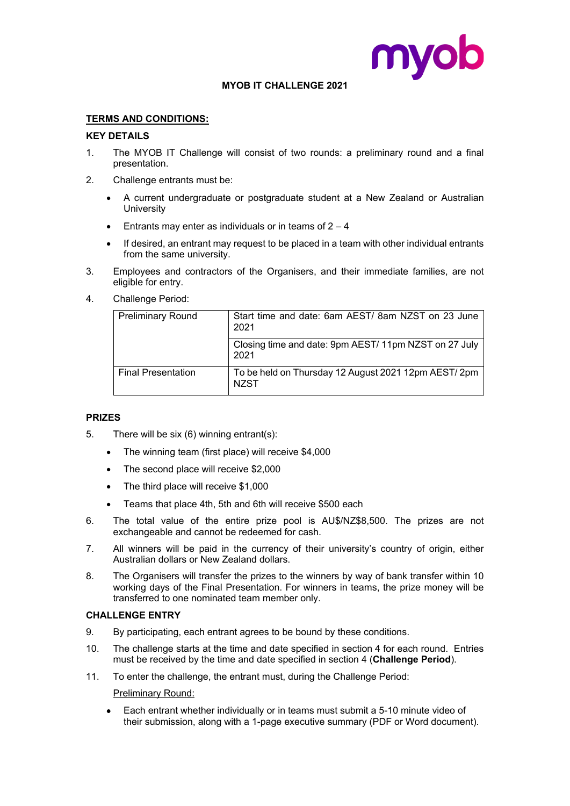



- 1. The MYOB Digital Challenge will consist of two rounds: a preliminary round and a final presentation.
- 2. Challenge entrants must be:
	- A current undergraduate or postgraduate student at a New Zealand or Australian **University**
	- Entrants may enter as individuals or in teams of  $2 4$
	- An entrant may also request to be placed in a team with other individual entrants from the same university.
- 3. Employees and contractors of the Organisers, and their immediate families, are not eligible for entry.
- 4. Challenge Period:

<span id="page-0-0"></span>

| <b>Preliminary Round</b>  | Start time and date: 6am AEST/ 8am NZST on 11 July<br>2022   |
|---------------------------|--------------------------------------------------------------|
|                           | Closing time and date: 9pm AEST/11pm NZST on<br>18 July 2022 |
| <b>Final Presentation</b> | To be held on Thursday 4 August 2022 12pm AEST/<br>2pm NZST  |

## PR<sub>ZES</sub>

- 5. There will be six (6) winning entrant(s):
	- The winning team (first place) will receive \$4,000
	- The second place will receive \$2,000
	- The third place will receive \$1,000
	- Teams that place 4th, 5th and 6th will receive \$500 each
- 6. The total value of the entire prize pool is AU\$/NZ\$8,500. The prizes are not exchangeable and cannot be redeemed for cash.
- 7. All winners will be paid in the currency of their university's country of origin, either Australian dollars or New Zealand dollars.
- 8. The Organisers will transfer the prizes to the winners by way of bank transfer within 10 working days of the Final Presentation. For winners in teams, the prize money will be transferred to one nominated team member only.
- C A EN E ENTRY
- 9. By participating, each entrant agrees to be bound by these conditions.
- 10. The challenge starts at the time and date specified in section 4 for each round. Entries must be received by the time and date specified in section [4](#page-0-0) (Challenge Period).
- 11. To enter the challenge, the entrant must, during the Challenge Period:

Preliminary Round:

• Each entrant whether individually or in teams must submit a 5-10 minute video of their submission, along with a 1-page executive summary (PDF or Word document).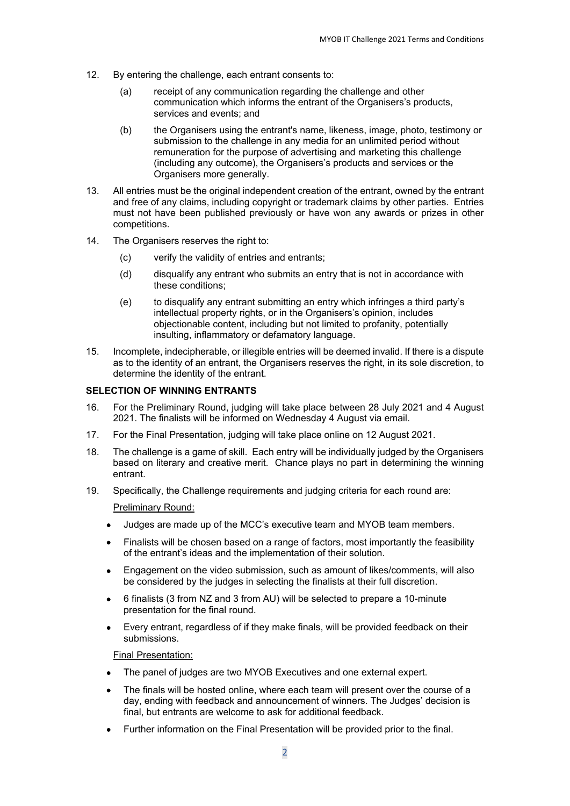- 12. By entering the challenge, each entrant consents to:
	- (a) receipt of any communication regarding the challenge and other communication which informs the entrant of the Organisers's products, services and events; and
	- (b) the Organisers using the entrant's name, likeness, image, photo, testimony or submission to the challenge in any media for an unlimited period without remuneration for the purpose of advertising and marketing this challenge (including any outcome), the Organisers's products and services or the Organisers more generally.
- 13. All entries must be the original independent creation of the entrant, owned by the entrant and free of any claims, including copyright or trademark claims by other parties. Entries must not have been published previously or have won any awards or prizes in other competitions.
- 14. The Organisers reserves the right to:
	- (c) verify the validity of entries and entrants;
	- (d) disqualify any entrant who submits an entry that is not in accordance with these conditions;
	- (e) to disqualify any entrant submitting an entry which infringes a third party's intellectual property rights, or in the Organisers's opinion, includes objectionable content, including but not limited to profanity, potentially insulting, inflammatory or defamatory language.
- 15. Incomplete, indecipherable, or illegible entries will be deemed invalid. If there is a dispute as to the identity of an entrant, the Organisers reserves the right, in its sole discretion, to determine the identity of the entrant.

## **SELECTION OF WINNING ENTRANTS**

- 16. For the Preliminary Round, judging will take place between 19 July 2022 and 27 July 2022. The finalists will be informed on Wednesday 27 July via email.
- 17. For the Final Presentation, judging will take place online on 4 August 2022.
- 18. The challenge is a game of skill. Each entry will be individually judged by the Organisers based on literary and creative merit. Chance plays no part in determining the winning entrant.
- 19. Specifically, the Challenge requirements and judging criteria for each round are:

Preliminary Round:

- Judges are made up of the UACC's executive team and MYOB team members.
- Finalists will be chosen based on a range of factors, most importantly the feasibility of the entrant's ideas and the implementation of their solution.
- Engagement on the video submission, such as amount of likes/comments, will also be considered by the judges in selecting the finalists at their full discretion.
- 6 finalists (3 from NZ and 3 from AU) will be selected to prepare a 10-minute presentation for the final round.
- Every entrant, regardless of if they make finals, will be provided feedback on their submissions.

Final Presentation:

- The panel of judges are three MYOB Executives and one external expert.
- The finals will be hosted online, where each team will present over the course of a day, ending with feedback and announcement of winners. The Judges' decision is final, but entrants are welcome to ask for additional feedback.
- Further information on the Final Presentation will be provided prior to the final.